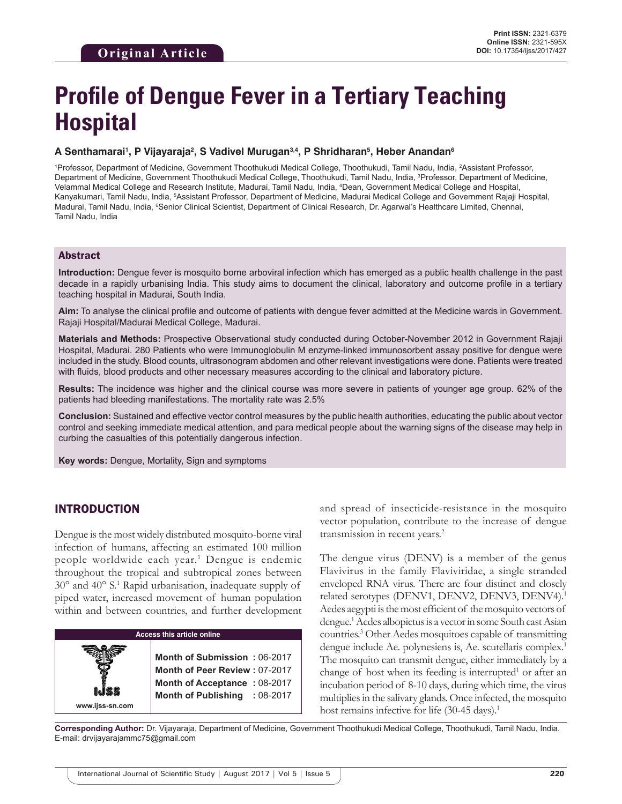# **Profile of Dengue Fever in a Tertiary Teaching Hospital**

#### A Senthamarai<sup>ı</sup>, P Vijayaraja<sup>2</sup>, S Vadivel Murugan<sup>3,4</sup>, P Shridharan<sup>s</sup>, Heber Anandan<sup>s</sup>

1 Professor, Department of Medicine, Government Thoothukudi Medical College, Thoothukudi, Tamil Nadu, India, 2 Assistant Professor, Department of Medicine, Government Thoothukudi Medical College, Thoothukudi, Tamil Nadu, India, <sup>3</sup>Professor, Department of Medicine, Velammal Medical College and Research Institute, Madurai, Tamil Nadu, India, 4 Dean, Government Medical College and Hospital, Kanyakumari, Tamil Nadu, India, <sup>5</sup>Assistant Professor, Department of Medicine, Madurai Medical College and Government Rajaji Hospital, Madurai, Tamil Nadu, India, <sup>e</sup>Senior Clinical Scientist, Department of Clinical Research, Dr. Agarwal's Healthcare Limited, Chennai, Tamil Nadu, India

#### Abstract

**Introduction:** Dengue fever is mosquito borne arboviral infection which has emerged as a public health challenge in the past decade in a rapidly urbanising India. This study aims to document the clinical, laboratory and outcome profile in a tertiary teaching hospital in Madurai, South India.

**Aim:** To analyse the clinical profile and outcome of patients with dengue fever admitted at the Medicine wards in Government. Rajaji Hospital/Madurai Medical College, Madurai.

**Materials and Methods:** Prospective Observational study conducted during October-November 2012 in Government Rajaji Hospital, Madurai. 280 Patients who were Immunoglobulin M enzyme-linked immunosorbent assay positive for dengue were included in the study. Blood counts, ultrasonogram abdomen and other relevant investigations were done. Patients were treated with fluids, blood products and other necessary measures according to the clinical and laboratory picture.

**Results:** The incidence was higher and the clinical course was more severe in patients of younger age group. 62% of the patients had bleeding manifestations. The mortality rate was 2.5%

**Conclusion:** Sustained and effective vector control measures by the public health authorities, educating the public about vector control and seeking immediate medical attention, and para medical people about the warning signs of the disease may help in curbing the casualties of this potentially dangerous infection.

**Key words:** Dengue, Mortality, Sign and symptoms

## INTRODUCTION

Dengue is the most widely distributed mosquito-borne viral infection of humans, affecting an estimated 100 million people worldwide each year.1 Dengue is endemic throughout the tropical and subtropical zones between 30° and 40° S.1 Rapid urbanisation, inadequate supply of piped water, increased movement of human population within and between countries, and further development



and spread of insecticide-resistance in the mosquito vector population, contribute to the increase of dengue transmission in recent years.<sup>2</sup>

The dengue virus (DENV) is a member of the genus Flavivirus in the family Flaviviridae, a single stranded enveloped RNA virus. There are four distinct and closely related serotypes (DENV1, DENV2, DENV3, DENV4).<sup>1</sup> Aedes aegypti is the most efficient of the mosquito vectors of dengue.1 Aedes albopictus is a vector in some South east Asian countries.3 Other Aedes mosquitoes capable of transmitting dengue include Ae. polynesiens is, Ae. scutellaris complex.<sup>1</sup> The mosquito can transmit dengue, either immediately by a change of host when its feeding is interrupted<sup>1</sup> or after an incubation period of 8-10 days, during which time, the virus multiplies in the salivary glands. Once infected, the mosquito host remains infective for life  $(30-45 \text{ days})$ .<sup>1</sup>

**Corresponding Author:** Dr. Vijayaraja, Department of Medicine, Government Thoothukudi Medical College, Thoothukudi, Tamil Nadu, India. E-mail: drvijayarajammc75@gmail.com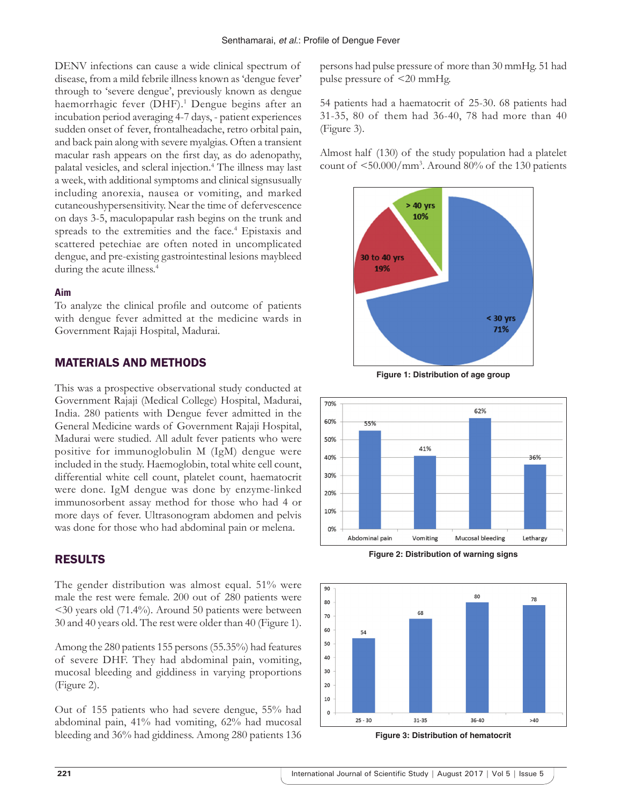DENV infections can cause a wide clinical spectrum of disease, from a mild febrile illness known as 'dengue fever' through to 'severe dengue', previously known as dengue haemorrhagic fever (DHF).<sup>1</sup> Dengue begins after an incubation period averaging 4-7 days, - patient experiences sudden onset of fever, frontalheadache, retro orbital pain, and back pain along with severe myalgias. Often a transient macular rash appears on the first day, as do adenopathy, palatal vesicles, and scleral injection.4 The illness may last a week, with additional symptoms and clinical signsusually including anorexia, nausea or vomiting, and marked cutaneoushypersensitivity. Near the time of defervescence on days 3-5, maculopapular rash begins on the trunk and spreads to the extremities and the face.<sup>4</sup> Epistaxis and scattered petechiae are often noted in uncomplicated dengue, and pre-existing gastrointestinal lesions maybleed during the acute illness.<sup>4</sup>

#### **Aim**

To analyze the clinical profile and outcome of patients with dengue fever admitted at the medicine wards in Government Rajaji Hospital, Madurai.

## MATERIALS AND METHODS

This was a prospective observational study conducted at Government Rajaji (Medical College) Hospital, Madurai, India. 280 patients with Dengue fever admitted in the General Medicine wards of Government Rajaji Hospital, Madurai were studied. All adult fever patients who were positive for immunoglobulin M (IgM) dengue were included in the study. Haemoglobin, total white cell count, differential white cell count, platelet count, haematocrit were done. IgM dengue was done by enzyme-linked immunosorbent assay method for those who had 4 or more days of fever. Ultrasonogram abdomen and pelvis was done for those who had abdominal pain or melena.

# RESULTS

The gender distribution was almost equal. 51% were male the rest were female. 200 out of 280 patients were <30 years old (71.4%). Around 50 patients were between 30 and 40 years old. The rest were older than 40 (Figure 1).

Among the 280 patients 155 persons (55.35%) had features of severe DHF. They had abdominal pain, vomiting, mucosal bleeding and giddiness in varying proportions (Figure 2).

Out of 155 patients who had severe dengue, 55% had abdominal pain, 41% had vomiting, 62% had mucosal bleeding and 36% had giddiness. Among 280 patients 136 persons had pulse pressure of more than 30 mmHg. 51 had pulse pressure of <20 mmHg.

54 patients had a haematocrit of 25-30. 68 patients had 31-35, 80 of them had 36-40, 78 had more than 40 (Figure 3).

Almost half (130) of the study population had a platelet count of <50.000/mm3 . Around 80% of the 130 patients



**Figure 1: Distribution of age group**



**Figure 2: Distribution of warning signs**



**Figure 3: Distribution of hematocrit**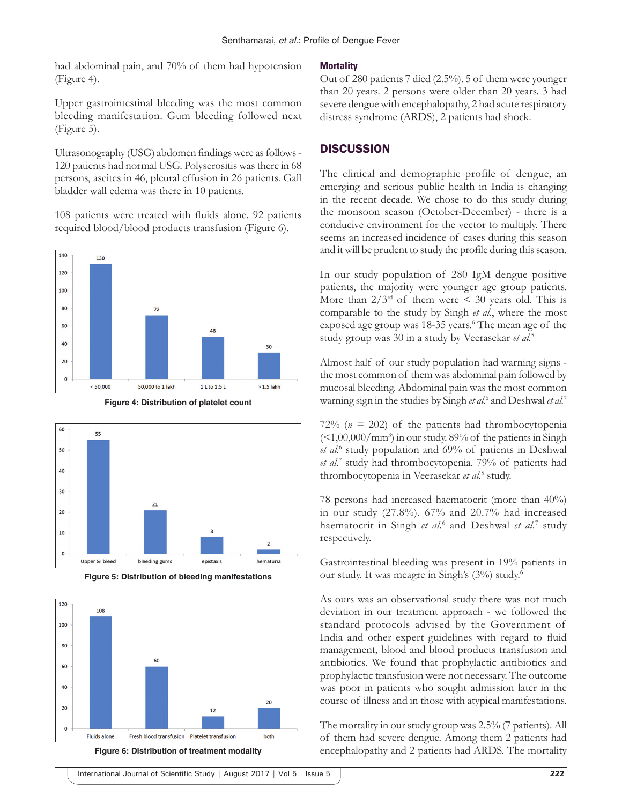had abdominal pain, and 70% of them had hypotension (Figure 4).

Upper gastrointestinal bleeding was the most common bleeding manifestation. Gum bleeding followed next (Figure 5).

Ultrasonography (USG) abdomen findings were as follows-120 patients had normal USG. Polyserositis was there in 68 persons, ascites in 46, pleural effusion in 26 patients. Gall bladder wall edema was there in 10 patients.

108 patients were treated with fluids alone. 92 patients required blood/blood products transfusion (Figure 6).



**Figure 4: Distribution of platelet count**



**Figure 5: Distribution of bleeding manifestations**



**Figure 6: Distribution of treatment modality**

#### **Mortality**

Out of 280 patients 7 died (2.5%). 5 of them were younger than 20 years. 2 persons were older than 20 years. 3 had severe dengue with encephalopathy, 2 had acute respiratory distress syndrome (ARDS), 2 patients had shock.

#### **DISCUSSION**

The clinical and demographic profile of dengue, an emerging and serious public health in India is changing in the recent decade. We chose to do this study during the monsoon season (October-December) - there is a conducive environment for the vector to multiply. There seems an increased incidence of cases during this season and it will be prudent to study the profile during this season.

In our study population of 280 IgM dengue positive patients, the majority were younger age group patients. More than  $2/3^{rd}$  of them were  $\leq 30$  years old. This is comparable to the study by Singh *et al.*, where the most exposed age group was 18-35 years.<sup>6</sup> The mean age of the study group was 30 in a study by Veerasekar *et al.*<sup>5</sup>

Almost half of our study population had warning signs the most common of them was abdominal pain followed by mucosal bleeding. Abdominal pain was the most common warning sign in the studies by Singh *et al.*<sup>6</sup> and Deshwal *et al.*<sup>7</sup>

72% ( $n = 202$ ) of the patients had thrombocytopenia  $\left( \langle 1,00,000/\text{mm}^3 \rangle \right)$  in our study. 89% of the patients in Singh *et al.*<sup>6</sup> study population and 69% of patients in Deshwal *et al.*<sup>7</sup> study had thrombocytopenia. 79% of patients had thrombocytopenia in Veerasekar *et al.*<sup>5</sup> study.

78 persons had increased haematocrit (more than 40%) in our study (27.8%). 67% and 20.7% had increased haematocrit in Singh *et al.*<sup>6</sup> and Deshwal *et al.*<sup>7</sup> study respectively.

Gastrointestinal bleeding was present in 19% patients in our study. It was meagre in Singh's (3%) study.6

As ours was an observational study there was not much deviation in our treatment approach - we followed the standard protocols advised by the Government of India and other expert guidelines with regard to fluid management, blood and blood products transfusion and antibiotics. We found that prophylactic antibiotics and prophylactic transfusion were not necessary. The outcome was poor in patients who sought admission later in the course of illness and in those with atypical manifestations.

The mortality in our study group was 2.5% (7 patients). All of them had severe dengue. Among them 2 patients had encephalopathy and 2 patients had ARDS. The mortality